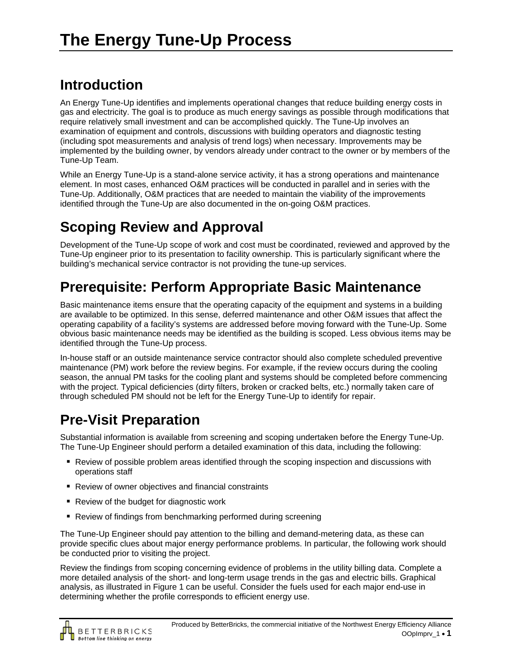## **Introduction**

An Energy Tune-Up identifies and implements operational changes that reduce building energy costs in gas and electricity. The goal is to produce as much energy savings as possible through modifications that require relatively small investment and can be accomplished quickly. The Tune-Up involves an examination of equipment and controls, discussions with building operators and diagnostic testing (including spot measurements and analysis of trend logs) when necessary. Improvements may be implemented by the building owner, by vendors already under contract to the owner or by members of the Tune-Up Team.

While an Energy Tune-Up is a stand-alone service activity, it has a strong operations and maintenance element. In most cases, enhanced O&M practices will be conducted in parallel and in series with the Tune-Up. Additionally, O&M practices that are needed to maintain the viability of the improvements identified through the Tune-Up are also documented in the on-going O&M practices.

## **Scoping Review and Approval**

Development of the Tune-Up scope of work and cost must be coordinated, reviewed and approved by the Tune-Up engineer prior to its presentation to facility ownership. This is particularly significant where the building's mechanical service contractor is not providing the tune-up services.

## **Prerequisite: Perform Appropriate Basic Maintenance**

Basic maintenance items ensure that the operating capacity of the equipment and systems in a building are available to be optimized. In this sense, deferred maintenance and other O&M issues that affect the operating capability of a facility's systems are addressed before moving forward with the Tune-Up. Some obvious basic maintenance needs may be identified as the building is scoped. Less obvious items may be identified through the Tune-Up process.

In-house staff or an outside maintenance service contractor should also complete scheduled preventive maintenance (PM) work before the review begins. For example, if the review occurs during the cooling season, the annual PM tasks for the cooling plant and systems should be completed before commencing with the project. Typical deficiencies (dirty filters, broken or cracked belts, etc.) normally taken care of through scheduled PM should not be left for the Energy Tune-Up to identify for repair.

# **Pre-Visit Preparation**

Substantial information is available from screening and scoping undertaken before the Energy Tune-Up. The Tune-Up Engineer should perform a detailed examination of this data, including the following:

- Review of possible problem areas identified through the scoping inspection and discussions with operations staff
- Review of owner objectives and financial constraints
- Review of the budget for diagnostic work
- Review of findings from benchmarking performed during screening

The Tune-Up Engineer should pay attention to the billing and demand-metering data, as these can provide specific clues about major energy performance problems. In particular, the following work should be conducted prior to visiting the project.

Review the findings from scoping concerning evidence of problems in the utility billing data. Complete a more detailed analysis of the short- and long-term usage trends in the gas and electric bills. Graphical analysis, as illustrated in Figure 1 can be useful. Consider the fuels used for each major end-use in determining whether the profile corresponds to efficient energy use.

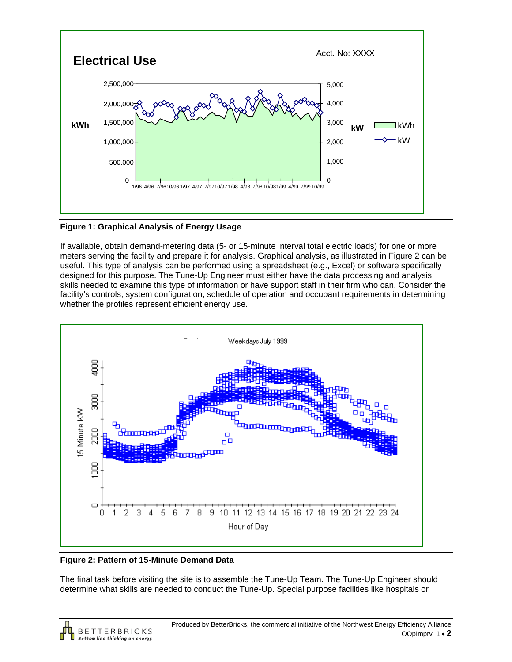

**Figure 1: Graphical Analysis of Energy Usage** 

If available, obtain demand-metering data (5- or 15-minute interval total electric loads) for one or more meters serving the facility and prepare it for analysis. Graphical analysis, as illustrated in Figure 2 can be useful. This type of analysis can be performed using a spreadsheet (e.g., Excel) or software specifically designed for this purpose. The Tune-Up Engineer must either have the data processing and analysis skills needed to examine this type of information or have support staff in their firm who can. Consider the facility's controls, system configuration, schedule of operation and occupant requirements in determining whether the profiles represent efficient energy use.



**Figure 2: Pattern of 15-Minute Demand Data** 

The final task before visiting the site is to assemble the Tune-Up Team. The Tune-Up Engineer should determine what skills are needed to conduct the Tune-Up. Special purpose facilities like hospitals or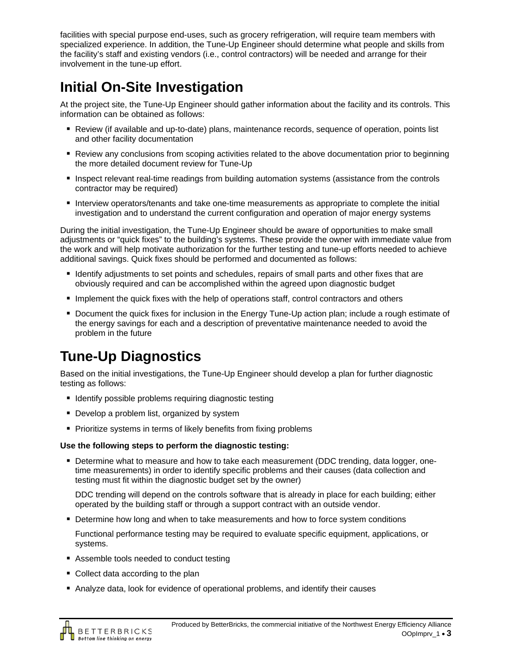facilities with special purpose end-uses, such as grocery refrigeration, will require team members with specialized experience. In addition, the Tune-Up Engineer should determine what people and skills from the facility's staff and existing vendors (i.e., control contractors) will be needed and arrange for their involvement in the tune-up effort.

# **Initial On-Site Investigation**

At the project site, the Tune-Up Engineer should gather information about the facility and its controls. This information can be obtained as follows:

- Review (if available and up-to-date) plans, maintenance records, sequence of operation, points list and other facility documentation
- Review any conclusions from scoping activities related to the above documentation prior to beginning the more detailed document review for Tune-Up
- **Inspect relevant real-time readings from building automation systems (assistance from the controls** contractor may be required)
- Interview operators/tenants and take one-time measurements as appropriate to complete the initial investigation and to understand the current configuration and operation of major energy systems

During the initial investigation, the Tune-Up Engineer should be aware of opportunities to make small adjustments or "quick fixes" to the building's systems. These provide the owner with immediate value from the work and will help motivate authorization for the further testing and tune-up efforts needed to achieve additional savings. Quick fixes should be performed and documented as follows:

- I dentify adjustments to set points and schedules, repairs of small parts and other fixes that are obviously required and can be accomplished within the agreed upon diagnostic budget
- **Implement the quick fixes with the help of operations staff, control contractors and others**
- Document the quick fixes for inclusion in the Energy Tune-Up action plan; include a rough estimate of the energy savings for each and a description of preventative maintenance needed to avoid the problem in the future

# **Tune-Up Diagnostics**

Based on the initial investigations, the Tune-Up Engineer should develop a plan for further diagnostic testing as follows:

- **If** Identify possible problems requiring diagnostic testing
- **Develop a problem list, organized by system**
- **Prioritize systems in terms of likely benefits from fixing problems**

#### **Use the following steps to perform the diagnostic testing:**

 Determine what to measure and how to take each measurement (DDC trending, data logger, onetime measurements) in order to identify specific problems and their causes (data collection and testing must fit within the diagnostic budget set by the owner)

DDC trending will depend on the controls software that is already in place for each building; either operated by the building staff or through a support contract with an outside vendor.

**• Determine how long and when to take measurements and how to force system conditions** 

Functional performance testing may be required to evaluate specific equipment, applications, or systems.

- Assemble tools needed to conduct testing
- Collect data according to the plan
- Analyze data, look for evidence of operational problems, and identify their causes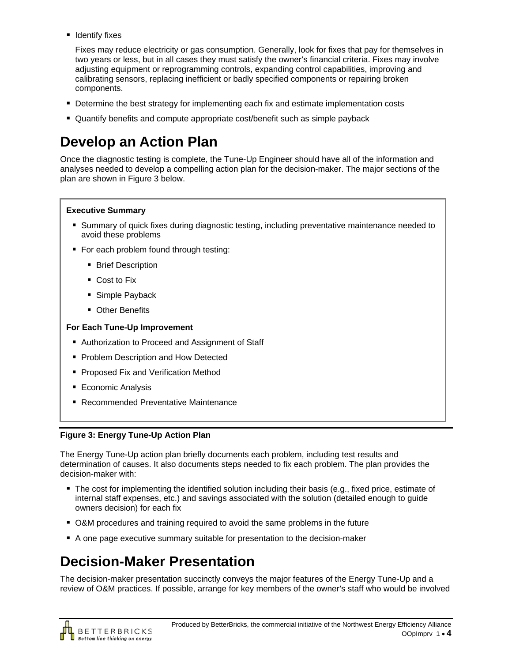**I** Identify fixes

Fixes may reduce electricity or gas consumption. Generally, look for fixes that pay for themselves in two years or less, but in all cases they must satisfy the owner's financial criteria. Fixes may involve adjusting equipment or reprogramming controls, expanding control capabilities, improving and calibrating sensors, replacing inefficient or badly specified components or repairing broken components.

- **Determine the best strategy for implementing each fix and estimate implementation costs**
- Quantify benefits and compute appropriate cost/benefit such as simple payback

## **Develop an Action Plan**

Once the diagnostic testing is complete, the Tune-Up Engineer should have all of the information and analyses needed to develop a compelling action plan for the decision-maker. The major sections of the plan are shown in Figure 3 below.

#### **Executive Summary**

- Summary of quick fixes during diagnostic testing, including preventative maintenance needed to avoid these problems
- For each problem found through testing:
	- **Brief Description**
	- Cost to Fix
	- **Simple Payback**
	- **Other Benefits**

#### **For Each Tune-Up Improvement**

- Authorization to Proceed and Assignment of Staff
- **Problem Description and How Detected**
- **Proposed Fix and Verification Method**
- **Economic Analysis**
- Recommended Preventative Maintenance

#### **Figure 3: Energy Tune-Up Action Plan**

The Energy Tune-Up action plan briefly documents each problem, including test results and determination of causes. It also documents steps needed to fix each problem. The plan provides the decision-maker with:

- The cost for implementing the identified solution including their basis (e.g., fixed price, estimate of internal staff expenses, etc.) and savings associated with the solution (detailed enough to guide owners decision) for each fix
- O&M procedures and training required to avoid the same problems in the future
- A one page executive summary suitable for presentation to the decision-maker

#### **Decision-Maker Presentation**

The decision-maker presentation succinctly conveys the major features of the Energy Tune-Up and a review of O&M practices. If possible, arrange for key members of the owner's staff who would be involved